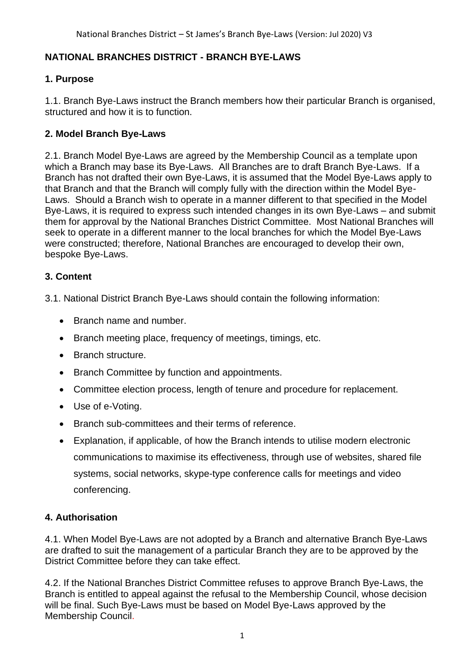## **NATIONAL BRANCHES DISTRICT - BRANCH BYE-LAWS**

## **1. Purpose**

1.1. Branch Bye-Laws instruct the Branch members how their particular Branch is organised, structured and how it is to function.

## **2. Model Branch Bye-Laws**

2.1. Branch Model Bye-Laws are agreed by the Membership Council as a template upon which a Branch may base its Bye-Laws. All Branches are to draft Branch Bye-Laws. If a Branch has not drafted their own Bye-Laws, it is assumed that the Model Bye-Laws apply to that Branch and that the Branch will comply fully with the direction within the Model Bye-Laws. Should a Branch wish to operate in a manner different to that specified in the Model Bye-Laws, it is required to express such intended changes in its own Bye-Laws – and submit them for approval by the National Branches District Committee. Most National Branches will seek to operate in a different manner to the local branches for which the Model Bye-Laws were constructed; therefore, National Branches are encouraged to develop their own, bespoke Bye-Laws.

## **3. Content**

3.1. National District Branch Bye-Laws should contain the following information:

- Branch name and number.
- Branch meeting place, frequency of meetings, timings, etc.
- Branch structure.
- Branch Committee by function and appointments.
- Committee election process, length of tenure and procedure for replacement.
- Use of e-Voting.
- Branch sub-committees and their terms of reference.
- Explanation, if applicable, of how the Branch intends to utilise modern electronic communications to maximise its effectiveness, through use of websites, shared file systems, social networks, skype-type conference calls for meetings and video conferencing.

#### **4. Authorisation**

4.1. When Model Bye-Laws are not adopted by a Branch and alternative Branch Bye-Laws are drafted to suit the management of a particular Branch they are to be approved by the District Committee before they can take effect.

4.2. If the National Branches District Committee refuses to approve Branch Bye-Laws, the Branch is entitled to appeal against the refusal to the Membership Council, whose decision will be final. Such Bye-Laws must be based on Model Bye-Laws approved by the Membership Council.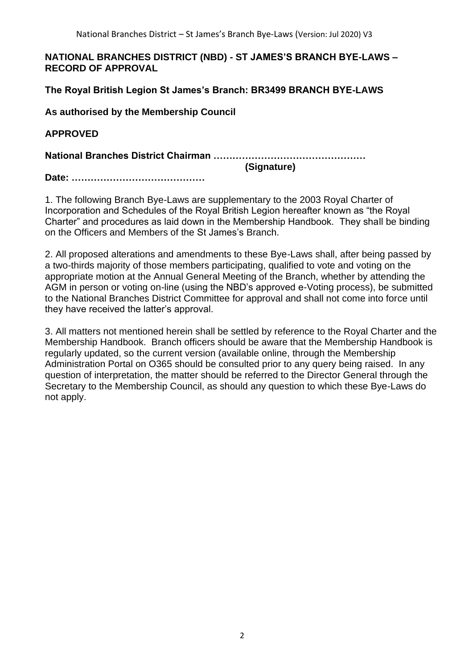#### **NATIONAL BRANCHES DISTRICT (NBD) - ST JAMES'S BRANCH BYE-LAWS – RECORD OF APPROVAL**

**The Royal British Legion St James's Branch: BR3499 BRANCH BYE-LAWS**

**As authorised by the Membership Council**

**APPROVED**

**National Branches District Chairman ………………………………………… (Signature)**

**Date: ……………………………………**

1. The following Branch Bye-Laws are supplementary to the 2003 Royal Charter of Incorporation and Schedules of the Royal British Legion hereafter known as "the Royal Charter" and procedures as laid down in the Membership Handbook. They shall be binding on the Officers and Members of the St James's Branch.

2. All proposed alterations and amendments to these Bye-Laws shall, after being passed by a two-thirds majority of those members participating, qualified to vote and voting on the appropriate motion at the Annual General Meeting of the Branch, whether by attending the AGM in person or voting on-line (using the NBD's approved e-Voting process), be submitted to the National Branches District Committee for approval and shall not come into force until they have received the latter's approval.

3. All matters not mentioned herein shall be settled by reference to the Royal Charter and the Membership Handbook. Branch officers should be aware that the Membership Handbook is regularly updated, so the current version (available online, through the Membership Administration Portal on O365 should be consulted prior to any query being raised. In any question of interpretation, the matter should be referred to the Director General through the Secretary to the Membership Council, as should any question to which these Bye-Laws do not apply.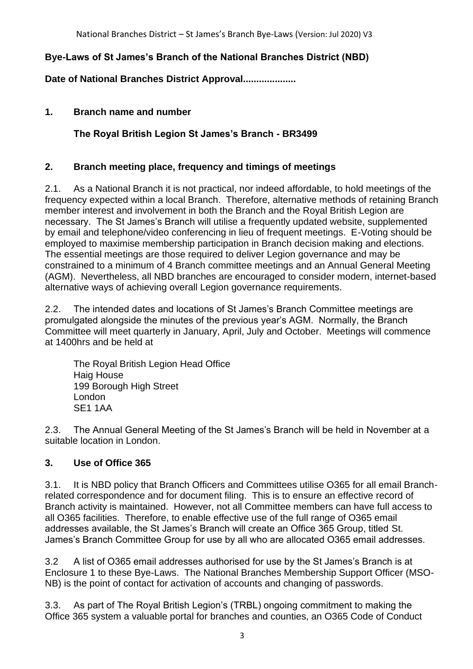## **Bye-Laws of St James's Branch of the National Branches District (NBD)**

**Date of National Branches District Approval....................** 

## **1. Branch name and number**

**The Royal British Legion St James's Branch - BR3499**

## **2. Branch meeting place, frequency and timings of meetings**

2.1. As a National Branch it is not practical, nor indeed affordable, to hold meetings of the frequency expected within a local Branch. Therefore, alternative methods of retaining Branch member interest and involvement in both the Branch and the Royal British Legion are necessary. The St James's Branch will utilise a frequently updated website, supplemented by email and telephone/video conferencing in lieu of frequent meetings. E-Voting should be employed to maximise membership participation in Branch decision making and elections. The essential meetings are those required to deliver Legion governance and may be constrained to a minimum of 4 Branch committee meetings and an Annual General Meeting (AGM). Nevertheless, all NBD branches are encouraged to consider modern, internet-based alternative ways of achieving overall Legion governance requirements.

2.2. The intended dates and locations of St James's Branch Committee meetings are promulgated alongside the minutes of the previous year's AGM. Normally, the Branch Committee will meet quarterly in January, April, July and October. Meetings will commence at 1400hrs and be held at

The Royal British Legion Head Office Haig House 199 Borough High Street London SE1 1AA

2.3. The Annual General Meeting of the St James's Branch will be held in November at a suitable location in London.

## **3. Use of Office 365**

3.1. It is NBD policy that Branch Officers and Committees utilise O365 for all email Branchrelated correspondence and for document filing. This is to ensure an effective record of Branch activity is maintained. However, not all Committee members can have full access to all O365 facilities. Therefore, to enable effective use of the full range of O365 email addresses available, the St James's Branch will create an Office 365 Group, titled St. James's Branch Committee Group for use by all who are allocated O365 email addresses.

3.2 A list of O365 email addresses authorised for use by the St James's Branch is at Enclosure 1 to these Bye-Laws. The National Branches Membership Support Officer (MSO-NB) is the point of contact for activation of accounts and changing of passwords.

3.3. As part of The Royal British Legion's (TRBL) ongoing commitment to making the Office 365 system a valuable portal for branches and counties, an O365 Code of Conduct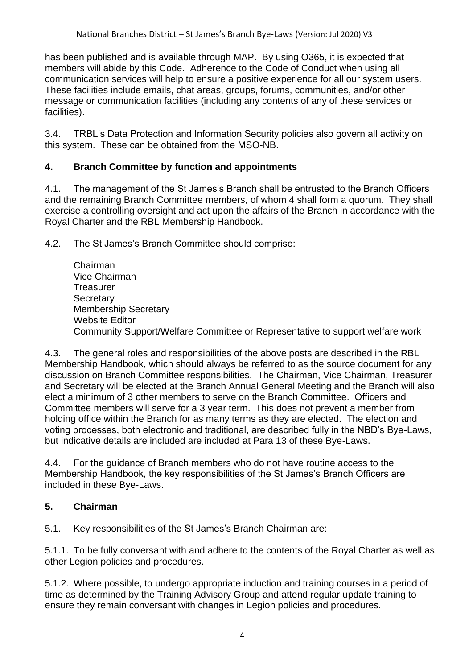has been published and is available through MAP. By using O365, it is expected that members will abide by this Code. Adherence to the Code of Conduct when using all communication services will help to ensure a positive experience for all our system users. These facilities include emails, chat areas, groups, forums, communities, and/or other message or communication facilities (including any contents of any of these services or facilities).

3.4. TRBL's Data Protection and Information Security policies also govern all activity on this system. These can be obtained from the MSO-NB.

## **4. Branch Committee by function and appointments**

4.1. The management of the St James's Branch shall be entrusted to the Branch Officers and the remaining Branch Committee members, of whom 4 shall form a quorum. They shall exercise a controlling oversight and act upon the affairs of the Branch in accordance with the Royal Charter and the RBL Membership Handbook.

4.2. The St James's Branch Committee should comprise:

Chairman Vice Chairman **Treasurer Secretary** Membership Secretary Website Editor Community Support/Welfare Committee or Representative to support welfare work

4.3. The general roles and responsibilities of the above posts are described in the RBL Membership Handbook, which should always be referred to as the source document for any discussion on Branch Committee responsibilities. The Chairman, Vice Chairman, Treasurer and Secretary will be elected at the Branch Annual General Meeting and the Branch will also elect a minimum of 3 other members to serve on the Branch Committee. Officers and Committee members will serve for a 3 year term. This does not prevent a member from holding office within the Branch for as many terms as they are elected. The election and voting processes, both electronic and traditional, are described fully in the NBD's Bye-Laws, but indicative details are included are included at Para 13 of these Bye-Laws.

4.4. For the guidance of Branch members who do not have routine access to the Membership Handbook, the key responsibilities of the St James's Branch Officers are included in these Bye-Laws.

## **5. Chairman**

5.1. Key responsibilities of the St James's Branch Chairman are:

5.1.1. To be fully conversant with and adhere to the contents of the Royal Charter as well as other Legion policies and procedures.

5.1.2. Where possible, to undergo appropriate induction and training courses in a period of time as determined by the Training Advisory Group and attend regular update training to ensure they remain conversant with changes in Legion policies and procedures.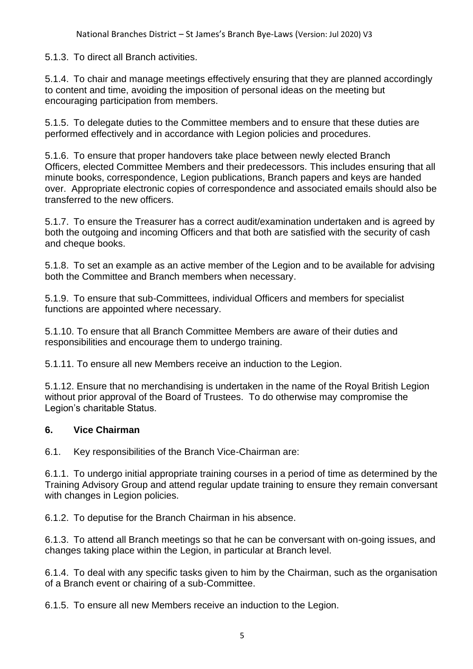5.1.3. To direct all Branch activities.

5.1.4. To chair and manage meetings effectively ensuring that they are planned accordingly to content and time, avoiding the imposition of personal ideas on the meeting but encouraging participation from members.

5.1.5. To delegate duties to the Committee members and to ensure that these duties are performed effectively and in accordance with Legion policies and procedures.

5.1.6. To ensure that proper handovers take place between newly elected Branch Officers, elected Committee Members and their predecessors. This includes ensuring that all minute books, correspondence, Legion publications, Branch papers and keys are handed over. Appropriate electronic copies of correspondence and associated emails should also be transferred to the new officers.

5.1.7. To ensure the Treasurer has a correct audit/examination undertaken and is agreed by both the outgoing and incoming Officers and that both are satisfied with the security of cash and cheque books.

5.1.8. To set an example as an active member of the Legion and to be available for advising both the Committee and Branch members when necessary.

5.1.9. To ensure that sub-Committees, individual Officers and members for specialist functions are appointed where necessary.

5.1.10. To ensure that all Branch Committee Members are aware of their duties and responsibilities and encourage them to undergo training.

5.1.11. To ensure all new Members receive an induction to the Legion.

5.1.12. Ensure that no merchandising is undertaken in the name of the Royal British Legion without prior approval of the Board of Trustees. To do otherwise may compromise the Legion's charitable Status.

#### **6. Vice Chairman**

6.1. Key responsibilities of the Branch Vice-Chairman are:

6.1.1. To undergo initial appropriate training courses in a period of time as determined by the Training Advisory Group and attend regular update training to ensure they remain conversant with changes in Legion policies.

6.1.2. To deputise for the Branch Chairman in his absence.

6.1.3. To attend all Branch meetings so that he can be conversant with on-going issues, and changes taking place within the Legion, in particular at Branch level.

6.1.4. To deal with any specific tasks given to him by the Chairman, such as the organisation of a Branch event or chairing of a sub-Committee.

6.1.5. To ensure all new Members receive an induction to the Legion.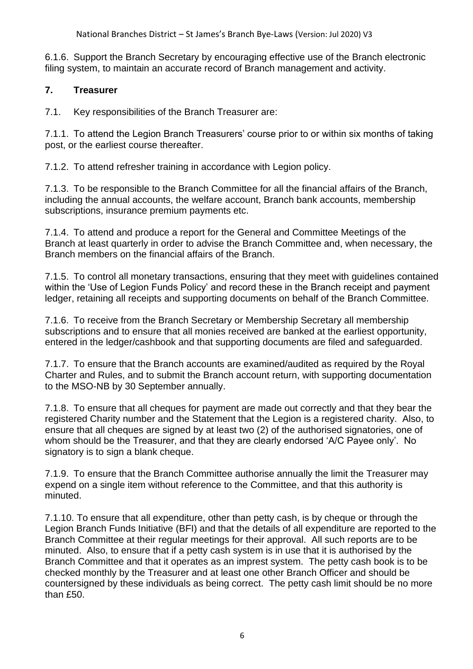6.1.6. Support the Branch Secretary by encouraging effective use of the Branch electronic filing system, to maintain an accurate record of Branch management and activity.

## **7. Treasurer**

7.1. Key responsibilities of the Branch Treasurer are:

7.1.1. To attend the Legion Branch Treasurers' course prior to or within six months of taking post, or the earliest course thereafter.

7.1.2. To attend refresher training in accordance with Legion policy.

7.1.3. To be responsible to the Branch Committee for all the financial affairs of the Branch, including the annual accounts, the welfare account, Branch bank accounts, membership subscriptions, insurance premium payments etc.

7.1.4. To attend and produce a report for the General and Committee Meetings of the Branch at least quarterly in order to advise the Branch Committee and, when necessary, the Branch members on the financial affairs of the Branch.

7.1.5. To control all monetary transactions, ensuring that they meet with guidelines contained within the 'Use of Legion Funds Policy' and record these in the Branch receipt and payment ledger, retaining all receipts and supporting documents on behalf of the Branch Committee.

7.1.6. To receive from the Branch Secretary or Membership Secretary all membership subscriptions and to ensure that all monies received are banked at the earliest opportunity, entered in the ledger/cashbook and that supporting documents are filed and safeguarded.

7.1.7. To ensure that the Branch accounts are examined/audited as required by the Royal Charter and Rules, and to submit the Branch account return, with supporting documentation to the MSO-NB by 30 September annually.

7.1.8. To ensure that all cheques for payment are made out correctly and that they bear the registered Charity number and the Statement that the Legion is a registered charity. Also, to ensure that all cheques are signed by at least two (2) of the authorised signatories, one of whom should be the Treasurer, and that they are clearly endorsed 'A/C Payee only'. No signatory is to sign a blank cheque.

7.1.9. To ensure that the Branch Committee authorise annually the limit the Treasurer may expend on a single item without reference to the Committee, and that this authority is minuted.

7.1.10. To ensure that all expenditure, other than petty cash, is by cheque or through the Legion Branch Funds Initiative (BFI) and that the details of all expenditure are reported to the Branch Committee at their regular meetings for their approval. All such reports are to be minuted. Also, to ensure that if a petty cash system is in use that it is authorised by the Branch Committee and that it operates as an imprest system. The petty cash book is to be checked monthly by the Treasurer and at least one other Branch Officer and should be countersigned by these individuals as being correct. The petty cash limit should be no more than £50.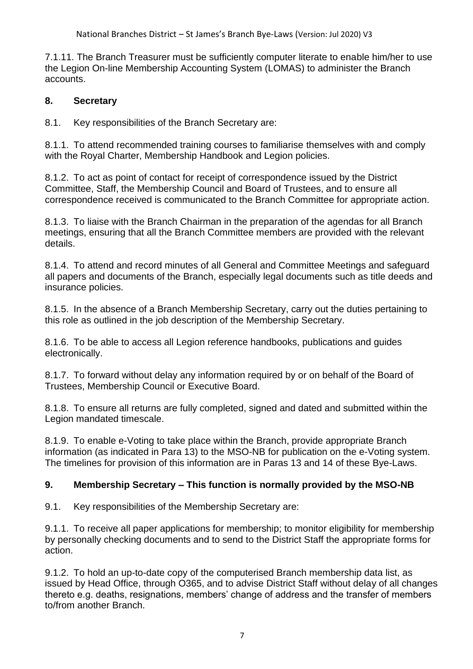7.1.11. The Branch Treasurer must be sufficiently computer literate to enable him/her to use the Legion On-line Membership Accounting System (LOMAS) to administer the Branch accounts.

## **8. Secretary**

8.1. Key responsibilities of the Branch Secretary are:

8.1.1. To attend recommended training courses to familiarise themselves with and comply with the Royal Charter, Membership Handbook and Legion policies.

8.1.2. To act as point of contact for receipt of correspondence issued by the District Committee, Staff, the Membership Council and Board of Trustees, and to ensure all correspondence received is communicated to the Branch Committee for appropriate action.

8.1.3. To liaise with the Branch Chairman in the preparation of the agendas for all Branch meetings, ensuring that all the Branch Committee members are provided with the relevant details.

8.1.4. To attend and record minutes of all General and Committee Meetings and safeguard all papers and documents of the Branch, especially legal documents such as title deeds and insurance policies.

8.1.5. In the absence of a Branch Membership Secretary, carry out the duties pertaining to this role as outlined in the job description of the Membership Secretary.

8.1.6. To be able to access all Legion reference handbooks, publications and guides electronically.

8.1.7. To forward without delay any information required by or on behalf of the Board of Trustees, Membership Council or Executive Board.

8.1.8. To ensure all returns are fully completed, signed and dated and submitted within the Legion mandated timescale.

8.1.9. To enable e-Voting to take place within the Branch, provide appropriate Branch information (as indicated in Para 13) to the MSO-NB for publication on the e-Voting system. The timelines for provision of this information are in Paras 13 and 14 of these Bye-Laws.

## **9. Membership Secretary – This function is normally provided by the MSO-NB**

9.1. Key responsibilities of the Membership Secretary are:

9.1.1. To receive all paper applications for membership; to monitor eligibility for membership by personally checking documents and to send to the District Staff the appropriate forms for action.

9.1.2. To hold an up-to-date copy of the computerised Branch membership data list, as issued by Head Office, through O365, and to advise District Staff without delay of all changes thereto e.g. deaths, resignations, members' change of address and the transfer of members to/from another Branch.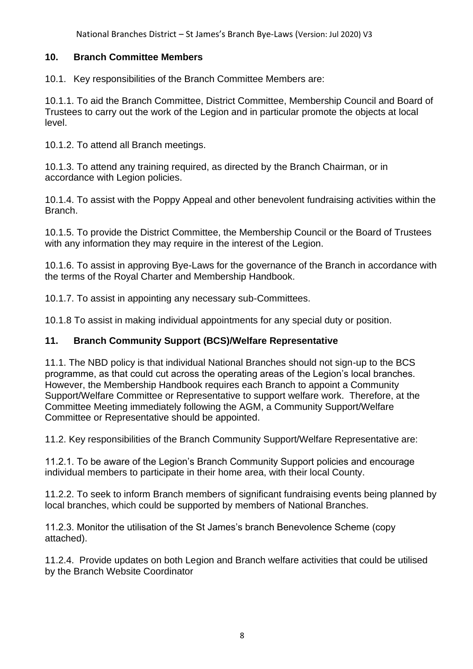National Branches District – St James's Branch Bye-Laws (Version: Jul 2020) V3

## **10. Branch Committee Members**

10.1. Key responsibilities of the Branch Committee Members are:

10.1.1. To aid the Branch Committee, District Committee, Membership Council and Board of Trustees to carry out the work of the Legion and in particular promote the objects at local level.

10.1.2. To attend all Branch meetings.

10.1.3. To attend any training required, as directed by the Branch Chairman, or in accordance with Legion policies.

10.1.4. To assist with the Poppy Appeal and other benevolent fundraising activities within the Branch.

10.1.5. To provide the District Committee, the Membership Council or the Board of Trustees with any information they may require in the interest of the Legion.

10.1.6. To assist in approving Bye-Laws for the governance of the Branch in accordance with the terms of the Royal Charter and Membership Handbook.

10.1.7. To assist in appointing any necessary sub-Committees.

10.1.8 To assist in making individual appointments for any special duty or position.

## **11. Branch Community Support (BCS)/Welfare Representative**

11.1. The NBD policy is that individual National Branches should not sign-up to the BCS programme, as that could cut across the operating areas of the Legion's local branches. However, the Membership Handbook requires each Branch to appoint a Community Support/Welfare Committee or Representative to support welfare work. Therefore, at the Committee Meeting immediately following the AGM, a Community Support/Welfare Committee or Representative should be appointed.

11.2. Key responsibilities of the Branch Community Support/Welfare Representative are:

11.2.1. To be aware of the Legion's Branch Community Support policies and encourage individual members to participate in their home area, with their local County.

11.2.2. To seek to inform Branch members of significant fundraising events being planned by local branches, which could be supported by members of National Branches.

11.2.3. Monitor the utilisation of the St James's branch Benevolence Scheme (copy attached).

11.2.4. Provide updates on both Legion and Branch welfare activities that could be utilised by the Branch Website Coordinator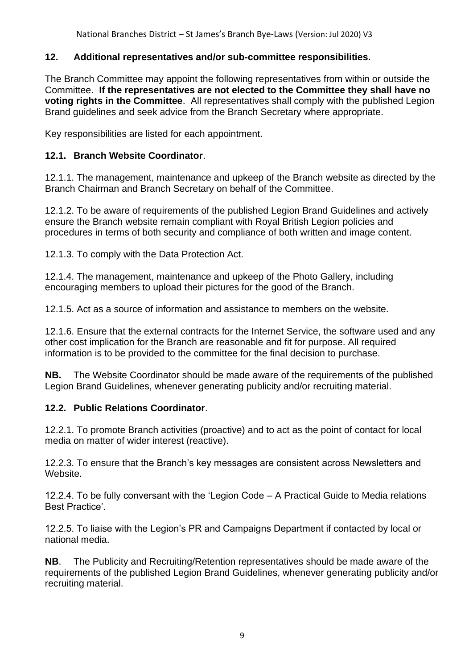National Branches District – St James's Branch Bye-Laws (Version: Jul 2020) V3

#### **12. Additional representatives and/or sub-committee responsibilities.**

The Branch Committee may appoint the following representatives from within or outside the Committee. **If the representatives are not elected to the Committee they shall have no voting rights in the Committee**. All representatives shall comply with the published Legion Brand guidelines and seek advice from the Branch Secretary where appropriate.

Key responsibilities are listed for each appointment.

#### **12.1. Branch Website Coordinator**.

12.1.1. The management, maintenance and upkeep of the Branch website as directed by the Branch Chairman and Branch Secretary on behalf of the Committee.

12.1.2. To be aware of requirements of the published Legion Brand Guidelines and actively ensure the Branch website remain compliant with Royal British Legion policies and procedures in terms of both security and compliance of both written and image content.

12.1.3. To comply with the Data Protection Act.

12.1.4. The management, maintenance and upkeep of the Photo Gallery, including encouraging members to upload their pictures for the good of the Branch.

12.1.5. Act as a source of information and assistance to members on the website.

12.1.6. Ensure that the external contracts for the Internet Service, the software used and any other cost implication for the Branch are reasonable and fit for purpose. All required information is to be provided to the committee for the final decision to purchase.

**NB.** The Website Coordinator should be made aware of the requirements of the published Legion Brand Guidelines, whenever generating publicity and/or recruiting material.

#### **12.2. Public Relations Coordinator**.

12.2.1. To promote Branch activities (proactive) and to act as the point of contact for local media on matter of wider interest (reactive).

12.2.3. To ensure that the Branch's key messages are consistent across Newsletters and Website.

12.2.4. To be fully conversant with the 'Legion Code – A Practical Guide to Media relations Best Practice'.

12.2.5. To liaise with the Legion's PR and Campaigns Department if contacted by local or national media.

**NB**. The Publicity and Recruiting/Retention representatives should be made aware of the requirements of the published Legion Brand Guidelines, whenever generating publicity and/or recruiting material.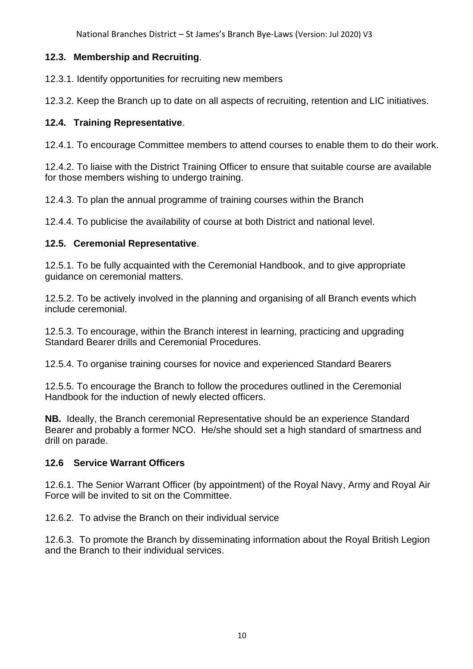National Branches District – St James's Branch Bye-Laws (Version: Jul 2020) V3

## **12.3. Membership and Recruiting**.

12.3.1. Identify opportunities for recruiting new members

12.3.2. Keep the Branch up to date on all aspects of recruiting, retention and LIC initiatives.

## **12.4. Training Representative**.

12.4.1. To encourage Committee members to attend courses to enable them to do their work.

12.4.2. To liaise with the District Training Officer to ensure that suitable course are available for those members wishing to undergo training.

12.4.3. To plan the annual programme of training courses within the Branch

12.4.4. To publicise the availability of course at both District and national level.

## **12.5. Ceremonial Representative**.

12.5.1. To be fully acquainted with the Ceremonial Handbook, and to give appropriate guidance on ceremonial matters.

12.5.2. To be actively involved in the planning and organising of all Branch events which include ceremonial.

12.5.3. To encourage, within the Branch interest in learning, practicing and upgrading Standard Bearer drills and Ceremonial Procedures.

12.5.4. To organise training courses for novice and experienced Standard Bearers

12.5.5. To encourage the Branch to follow the procedures outlined in the Ceremonial Handbook for the induction of newly elected officers.

**NB.** Ideally, the Branch ceremonial Representative should be an experience Standard Bearer and probably a former NCO. He/she should set a high standard of smartness and drill on parade.

#### **12.6 Service Warrant Officers**

12.6.1. The Senior Warrant Officer (by appointment) of the Royal Navy, Army and Royal Air Force will be invited to sit on the Committee.

12.6.2. To advise the Branch on their individual service

12.6.3. To promote the Branch by disseminating information about the Royal British Legion and the Branch to their individual services.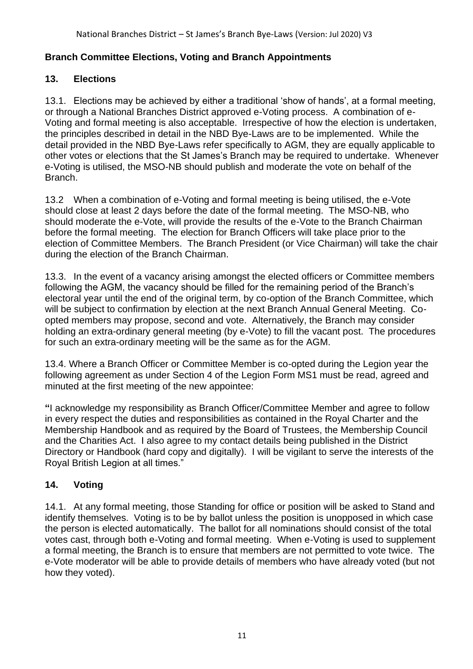## **Branch Committee Elections, Voting and Branch Appointments**

## **13. Elections**

13.1. Elections may be achieved by either a traditional 'show of hands', at a formal meeting, or through a National Branches District approved e-Voting process. A combination of e-Voting and formal meeting is also acceptable. Irrespective of how the election is undertaken, the principles described in detail in the NBD Bye-Laws are to be implemented. While the detail provided in the NBD Bye-Laws refer specifically to AGM, they are equally applicable to other votes or elections that the St James's Branch may be required to undertake. Whenever e-Voting is utilised, the MSO-NB should publish and moderate the vote on behalf of the Branch.

13.2 When a combination of e-Voting and formal meeting is being utilised, the e-Vote should close at least 2 days before the date of the formal meeting. The MSO-NB, who should moderate the e-Vote, will provide the results of the e-Vote to the Branch Chairman before the formal meeting. The election for Branch Officers will take place prior to the election of Committee Members. The Branch President (or Vice Chairman) will take the chair during the election of the Branch Chairman.

13.3. In the event of a vacancy arising amongst the elected officers or Committee members following the AGM, the vacancy should be filled for the remaining period of the Branch's electoral year until the end of the original term, by co-option of the Branch Committee, which will be subject to confirmation by election at the next Branch Annual General Meeting. Coopted members may propose, second and vote. Alternatively, the Branch may consider holding an extra-ordinary general meeting (by e-Vote) to fill the vacant post. The procedures for such an extra-ordinary meeting will be the same as for the AGM.

13.4. Where a Branch Officer or Committee Member is co-opted during the Legion year the following agreement as under Section 4 of the Legion Form MS1 must be read, agreed and minuted at the first meeting of the new appointee:

**"**I acknowledge my responsibility as Branch Officer/Committee Member and agree to follow in every respect the duties and responsibilities as contained in the Royal Charter and the Membership Handbook and as required by the Board of Trustees, the Membership Council and the Charities Act. I also agree to my contact details being published in the District Directory or Handbook (hard copy and digitally). I will be vigilant to serve the interests of the Royal British Legion at all times."

## **14. Voting**

14.1. At any formal meeting, those Standing for office or position will be asked to Stand and identify themselves. Voting is to be by ballot unless the position is unopposed in which case the person is elected automatically. The ballot for all nominations should consist of the total votes cast, through both e-Voting and formal meeting. When e-Voting is used to supplement a formal meeting, the Branch is to ensure that members are not permitted to vote twice. The e-Vote moderator will be able to provide details of members who have already voted (but not how they voted).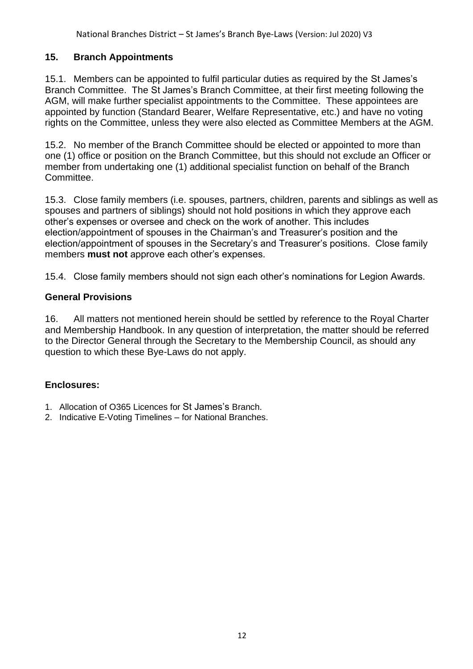## **15. Branch Appointments**

15.1. Members can be appointed to fulfil particular duties as required by the St James's Branch Committee. The St James's Branch Committee, at their first meeting following the AGM, will make further specialist appointments to the Committee. These appointees are appointed by function (Standard Bearer, Welfare Representative, etc.) and have no voting rights on the Committee, unless they were also elected as Committee Members at the AGM.

15.2. No member of the Branch Committee should be elected or appointed to more than one (1) office or position on the Branch Committee, but this should not exclude an Officer or member from undertaking one (1) additional specialist function on behalf of the Branch Committee.

15.3. Close family members (i.e. spouses, partners, children, parents and siblings as well as spouses and partners of siblings) should not hold positions in which they approve each other's expenses or oversee and check on the work of another. This includes election/appointment of spouses in the Chairman's and Treasurer's position and the election/appointment of spouses in the Secretary's and Treasurer's positions. Close family members **must not** approve each other's expenses.

15.4. Close family members should not sign each other's nominations for Legion Awards.

## **General Provisions**

16. All matters not mentioned herein should be settled by reference to the Royal Charter and Membership Handbook. In any question of interpretation, the matter should be referred to the Director General through the Secretary to the Membership Council, as should any question to which these Bye-Laws do not apply.

## **Enclosures:**

- 1. Allocation of O365 Licences for St James's Branch.
- 2. Indicative E-Voting Timelines for National Branches.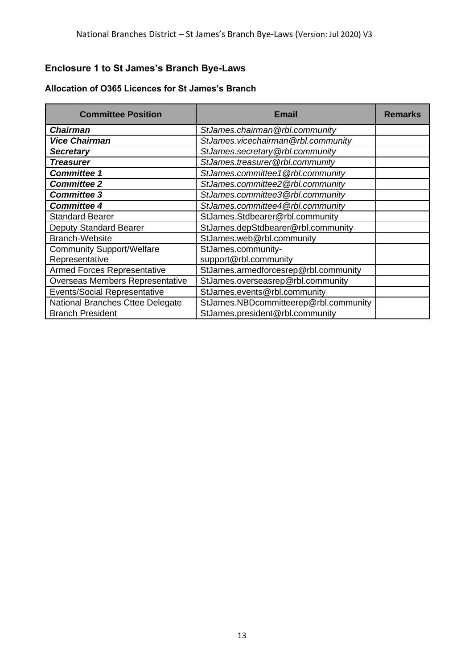## **Enclosure 1 to St James's Branch Bye-Laws**

| Allocation of O365 Licences for St James's Branch |  |  |  |  |  |  |
|---------------------------------------------------|--|--|--|--|--|--|
|---------------------------------------------------|--|--|--|--|--|--|

| <b>Committee Position</b>                          | Email                                       | <b>Remarks</b> |
|----------------------------------------------------|---------------------------------------------|----------------|
| <b>Chairman</b>                                    | StJames.chairman@rbl.community              |                |
| <b>Vice Chairman</b>                               | StJames.vicechairman@rbl.community          |                |
| <b>Secretary</b>                                   | StJames.secretary@rbl.community             |                |
| <b>Treasurer</b>                                   | StJames.treasurer@rbl.community             |                |
| <b>Committee 1</b>                                 | StJames.committee1@rbl.community            |                |
| <b>Committee 2</b>                                 | StJames.committee2@rbl.community            |                |
| <b>Committee 3</b>                                 | StJames.committee3@rbl.community            |                |
| <b>Committee 4</b>                                 | StJames.committee4@rbl.community            |                |
| <b>Standard Bearer</b>                             | StJames.Stdbearer@rbl.community             |                |
| <b>Deputy Standard Bearer</b>                      | StJames.depStdbearer@rbl.community          |                |
| <b>Branch-Website</b>                              | StJames.web@rbl.community                   |                |
| <b>Community Support/Welfare</b><br>Representative | StJames.community-<br>support@rbl.community |                |
| <b>Armed Forces Representative</b>                 | StJames.armedforcesrep@rbl.community        |                |
| Overseas Members Representative                    | StJames.overseasrep@rbl.community           |                |
| <b>Events/Social Representative</b>                | StJames.events@rbl.community                |                |
| National Branches Cttee Delegate                   | StJames.NBDcommitteerep@rbl.community       |                |
| <b>Branch President</b>                            | StJames.president@rbl.community             |                |